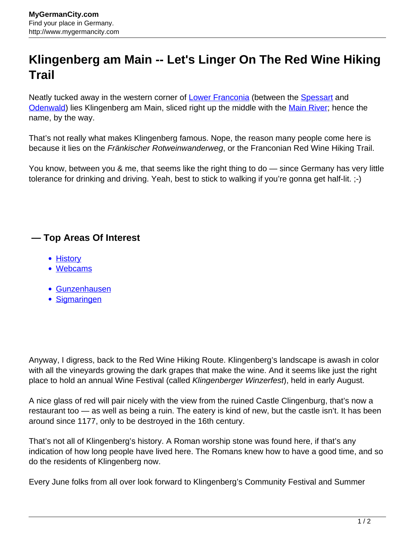## **Klingenberg am Main -- Let's Linger On The Red Wine Hiking Trail**

Neatly tucked away in the western corner of [Lower Franconia](http://www.mygermancity.com/lower-franconia) (between the [Spessart](http://www.mygermancity.com/spessart) and **Odenwald**) lies Klingenberg am Main, sliced right up the middle with the [Main River](http://www.mygermancity.com/main); hence the name, by the way.

That's not really what makes Klingenberg famous. Nope, the reason many people come here is because it lies on the Fränkischer Rotweinwanderweg, or the Franconian Red Wine Hiking Trail.

You know, between you & me, that seems like the right thing to do — since Germany has very little tolerance for drinking and driving. Yeah, best to stick to walking if you're gonna get half-lit. ;-)

## **— Top Areas Of Interest**

- [History](http://www.mygermancity.com/leipzig-history)
- [Webcams](http://www.mygermancity.com/neustadt-holstein-webcams)
- [Gunzenhausen](http://www.mygermancity.com/gunzenhausen)
- [Sigmaringen](http://www.mygermancity.com/sigmaringen)

Anyway, I digress, back to the Red Wine Hiking Route. Klingenberg's landscape is awash in color with all the vineyards growing the dark grapes that make the wine. And it seems like just the right place to hold an annual Wine Festival (called Klingenberger Winzerfest), held in early August.

A nice glass of red will pair nicely with the view from the ruined Castle Clingenburg, that's now a restaurant too — as well as being a ruin. The eatery is kind of new, but the castle isn't. It has been around since 1177, only to be destroyed in the 16th century.

That's not all of Klingenberg's history. A Roman worship stone was found here, if that's any indication of how long people have lived here. The Romans knew how to have a good time, and so do the residents of Klingenberg now.

Every June folks from all over look forward to Klingenberg's Community Festival and Summer